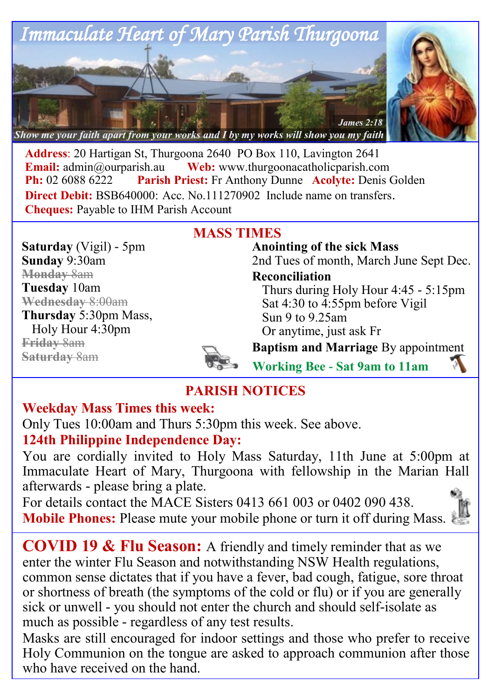

**Address**: 20 Hartigan St, Thurgoona 2640 PO Box 110, Lavington 2641 **Email:**  $\alpha$ <sup>o</sup> admin $\alpha$ <sup>o</sup> aurearish.au **Web:** www.thurgoonacatholicparish.com **Ph:** 02 6088 6222 **Parish Priest:** Fr Anthony Dunne **Acolyte:** Denis Golden **Direct Debit: BSB640000: Acc. No.111270902** Include name on transfers. **Cheques:** Payable to IHM Parish Account

**MASS TIMES**

**Saturday** (Vigil) - 5pm **Sunday** 9:30am **Monday** 8am **Tuesday** 10am **Wednesday** 8:00am **Thursday** 5:30pm Mass, Holy Hour 4:30pm **Friday** 8am **Saturday** 8am

**Anointing of the sick Mass** 2nd Tues of month, March June Sept Dec.

**Reconciliation** 

Thurs during Holy Hour 4:45 - 5:15pm Sat 4:30 to 4:55pm before Vigil Sun 9 to 9.25am Or anytime, just ask Fr

**Baptism and Marriage** By appointment

**Working Bee - Sat 9am to 11am**

# **PARISH NOTICES**

## **Weekday Mass Times this week:**

Only Tues 10:00am and Thurs 5:30pm this week. See above.

### **124th Philippine Independence Day:**

You are cordially invited to Holy Mass Saturday, 11th June at 5:00pm at Immaculate Heart of Mary, Thurgoona with fellowship in the Marian Hall afterwards - please bring a plate.

For details contact the MACE Sisters 0413 661 003 or 0402 090 438. **Mobile Phones:** Please mute your mobile phone or turn it off during Mass.



**COVID 19 & Flu Season:** A friendly and timely reminder that as we enter the winter Flu Season and notwithstanding NSW Health regulations, common sense dictates that if you have a fever, bad cough, fatigue, sore throat or shortness of breath (the symptoms of the cold or flu) or if you are generally sick or unwell - you should not enter the church and should self-isolate as much as possible - regardless of any test results.

Masks are still encouraged for indoor settings and those who prefer to receive Holy Communion on the tongue are asked to approach communion after those who have received on the hand.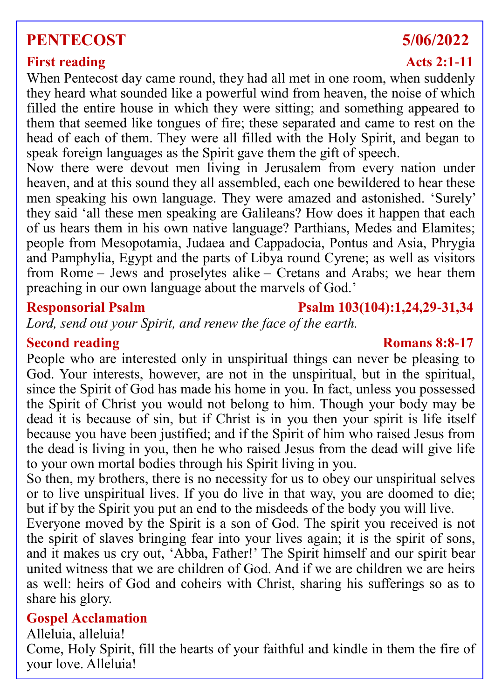# **PENTECOST 5/06/2022**

#### **First reading Acts 2:1-11**

When Pentecost day came round, they had all met in one room, when suddenly they heard what sounded like a powerful wind from heaven, the noise of which filled the entire house in which they were sitting; and something appeared to them that seemed like tongues of fire; these separated and came to rest on the head of each of them. They were all filled with the Holy Spirit, and began to speak foreign languages as the Spirit gave them the gift of speech.

Now there were devout men living in Jerusalem from every nation under heaven, and at this sound they all assembled, each one bewildered to hear these men speaking his own language. They were amazed and astonished. 'Surely' they said 'all these men speaking are Galileans? How does it happen that each of us hears them in his own native language? Parthians, Medes and Elamites; people from Mesopotamia, Judaea and Cappadocia, Pontus and Asia, Phrygia and Pamphylia, Egypt and the parts of Libya round Cyrene; as well as visitors from Rome – Jews and proselytes alike – Cretans and Arabs; we hear them preaching in our own language about the marvels of God.'

### **Responsorial Psalm Psalm 103(104):1,24,29-31,34**

*Lord, send out your Spirit, and renew the face of the earth.*

### **Second reading Romans 8:8-17**

People who are interested only in unspiritual things can never be pleasing to God. Your interests, however, are not in the unspiritual, but in the spiritual, since the Spirit of God has made his home in you. In fact, unless you possessed the Spirit of Christ you would not belong to him. Though your body may be dead it is because of sin, but if Christ is in you then your spirit is life itself because you have been justified; and if the Spirit of him who raised Jesus from the dead is living in you, then he who raised Jesus from the dead will give life to your own mortal bodies through his Spirit living in you.

So then, my brothers, there is no necessity for us to obey our unspiritual selves or to live unspiritual lives. If you do live in that way, you are doomed to die; but if by the Spirit you put an end to the misdeeds of the body you will live.

Everyone moved by the Spirit is a son of God. The spirit you received is not the spirit of slaves bringing fear into your lives again; it is the spirit of sons, and it makes us cry out, 'Abba, Father!' The Spirit himself and our spirit bear united witness that we are children of God. And if we are children we are heirs as well: heirs of God and coheirs with Christ, sharing his sufferings so as to share his glory.

### **Gospel Acclamation**

Alleluia, alleluia!

Come, Holy Spirit, fill the hearts of your faithful and kindle in them the fire of your love. Alleluia!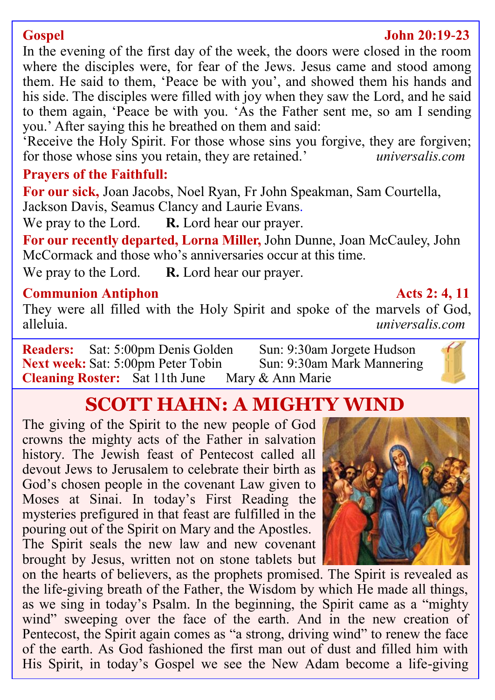#### **Gospel John 20:19-23**

In the evening of the first day of the week, the doors were closed in the room where the disciples were, for fear of the Jews. Jesus came and stood among them. He said to them, 'Peace be with you', and showed them his hands and his side. The disciples were filled with joy when they saw the Lord, and he said to them again, 'Peace be with you. 'As the Father sent me, so am I sending you.' After saying this he breathed on them and said:

'Receive the Holy Spirit. For those whose sins you forgive, they are forgiven; for those whose sins you retain, they are retained.' *universalis.com*

### **Prayers of the Faithfull:**

**For our sick,** Joan Jacobs, Noel Ryan, Fr John Speakman, Sam Courtella, Jackson Davis, Seamus Clancy and Laurie Evans.

We pray to the Lord. **R.** Lord hear our prayer.

**For our recently departed, Lorna Miller,** John Dunne, Joan McCauley, John McCormack and those who's anniversaries occur at this time.

We pray to the Lord. **R.** Lord hear our prayer.

### **Communion Antiphon Acts 2: 4, 11**

They were all filled with the Holy Spirit and spoke of the marvels of God, alleluia. *universalis.com*

**Readers:** Sat: 5:00pm Denis Golden Sun: 9:30am Jorgete Hudson<br> **Next week:** Sat: 5:00pm Peter Tobin Sun: 9:30am Mark Mannering Next week: Sat: 5:00pm Peter Tobin **Cleaning Roster:** Sat 11th June Mary & Ann Marie

# **SCOTT HAHN: A MIGHTY WIND**

The giving of the Spirit to the new people of God crowns the mighty acts of the Father in salvation history. The Jewish feast of Pentecost called all devout Jews to Jerusalem to celebrate their birth as God's chosen people in the covenant Law given to Moses at Sinai. In today's First Reading the mysteries prefigured in that feast are fulfilled in the pouring out of the Spirit on Mary and the Apostles. The Spirit seals the new law and new covenant brought by Jesus, written not on stone tablets but



on the hearts of believers, as the prophets promised. The Spirit is revealed as the life-giving breath of the Father, the Wisdom by which He made all things, as we sing in today's Psalm. In the beginning, the Spirit came as a "mighty wind" sweeping over the face of the earth. And in the new creation of Pentecost, the Spirit again comes as "a strong, driving wind" to renew the face of the earth. As God fashioned the first man out of dust and filled him with His Spirit, in today's Gospel we see the New Adam become a life-giving